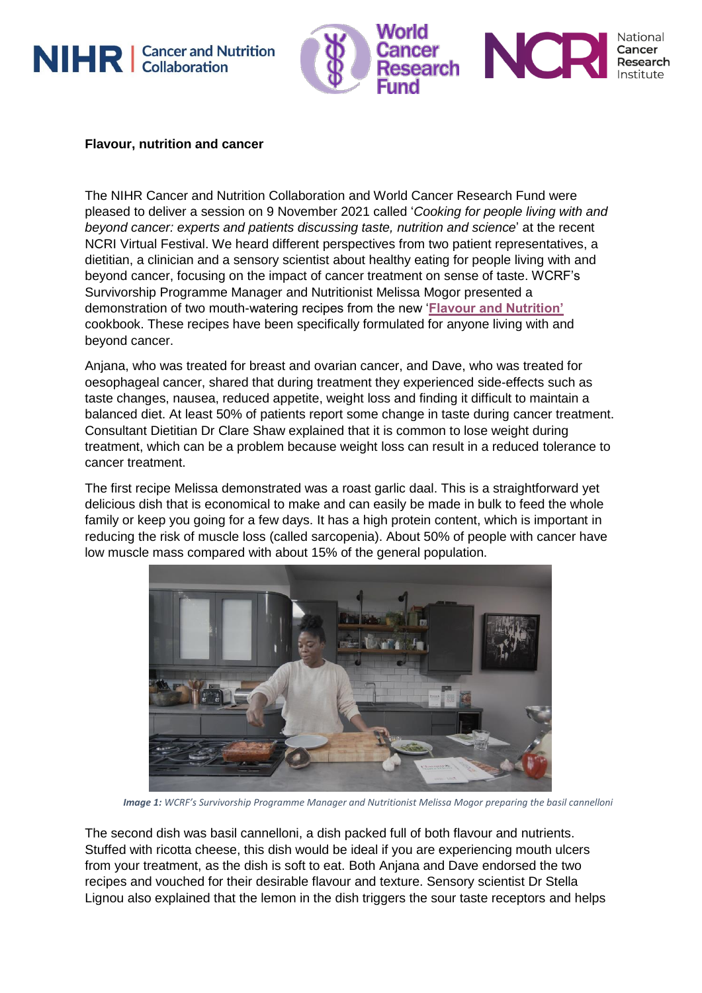



## **Flavour, nutrition and cancer**

The NIHR Cancer and Nutrition Collaboration and World Cancer Research Fund were pleased to deliver a session on 9 November 2021 called '*Cooking for people living with and beyond cancer: experts and patients discussing taste, nutrition and science*' at the recent NCRI Virtual Festival. We heard different perspectives from two patient representatives, a dietitian, a clinician and a sensory scientist about healthy eating for people living with and beyond cancer, focusing on the impact of cancer treatment on sense of taste. WCRF's Survivorship Programme Manager and Nutritionist Melissa Mogor presented a demonstration of two mouth-watering recipes from the new '**[Flavour and Nutrition'](https://www.wcrf-uk.org/health-advice-and-support/living-with-cancer/ryan-riley/)** cookbook. These recipes have been specifically formulated for anyone living with and beyond cancer.

Anjana, who was treated for breast and ovarian cancer, and Dave, who was treated for oesophageal cancer, shared that during treatment they experienced side-effects such as taste changes, nausea, reduced appetite, weight loss and finding it difficult to maintain a balanced diet. At least 50% of patients report some change in taste during cancer treatment. Consultant Dietitian Dr Clare Shaw explained that it is common to lose weight during treatment, which can be a problem because weight loss can result in a reduced tolerance to cancer treatment.

The first recipe Melissa demonstrated was a roast garlic daal. This is a straightforward yet delicious dish that is economical to make and can easily be made in bulk to feed the whole family or keep you going for a few days. It has a high protein content, which is important in reducing the risk of muscle loss (called sarcopenia). About 50% of people with cancer have low muscle mass compared with about 15% of the general population.



*Image 1: WCRF's Survivorship Programme Manager and Nutritionist Melissa Mogor preparing the basil cannelloni*

The second dish was basil cannelloni, a dish packed full of both flavour and nutrients. Stuffed with ricotta cheese, this dish would be ideal if you are experiencing mouth ulcers from your treatment, as the dish is soft to eat. Both Anjana and Dave endorsed the two recipes and vouched for their desirable flavour and texture. Sensory scientist Dr Stella Lignou also explained that the lemon in the dish triggers the sour taste receptors and helps